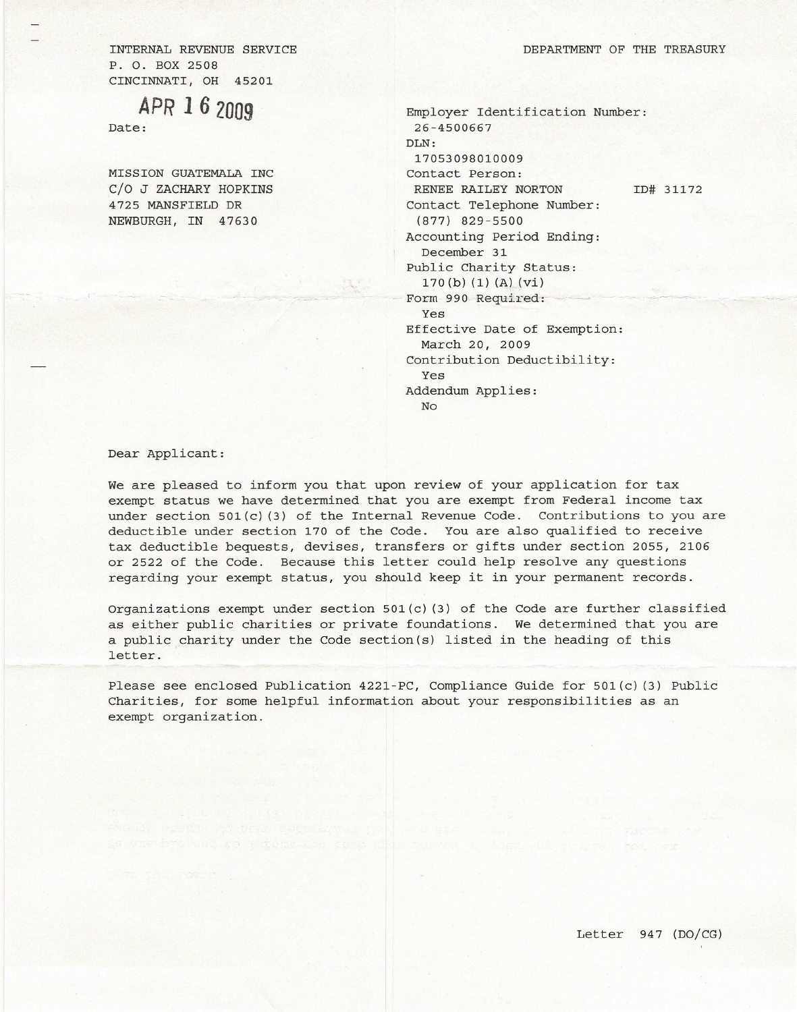INTERNAL REVENUE SERVICE P. O. BOX 2508 CINCINNATI, OH 45201

*APR* **162009**

Date:

MISSION GUATEMALA INC C/O J ZACHARY HOPKINS 4725 MANSFIELD DR NEWBURGH, IN 47630

Employer Identification Number: 26-4500667 DLN: 17053098010009 Contact Person: RENEE RAILEY NORTON Contact Telephone Number: (877) 829-5500 Accounting Period Ending: December 31 Public Charity Status: 170 (b) (1) (A) (vi) Form 990 Required: Yes Effective Date of Exemption: March 20, 2009 Contribution Deductibility: Yes Addendum Applies: No ID# 31172

Dear Applicant:

We are pleased to inform you that upon review of your application for tax exempt status we have determined that you are exempt from Federal income tax under section  $501(c)$  (3) of the Internal Revenue Code. Contributions to you are deductible under section 170 of the Code. You are also qualified to receive tax deductible bequests, devises, transfers or gifts under section 2055, 2106 or 2522 of the Code. Because this letter could help resolve any questions regarding your exempt status, you should keep it in your permanent records.

Organizations exempt under section 501(c) (3) of the Code are further classified as either public charities or private foundations. We determined that you are a public charity under the Code section(s) listed in the heading of this letter.

Please see enclosed Publication 4221-PC, Compliance Guide for 501(c) (3) Public Charities, for some helpful information about your responsibilities as an exempt organization.